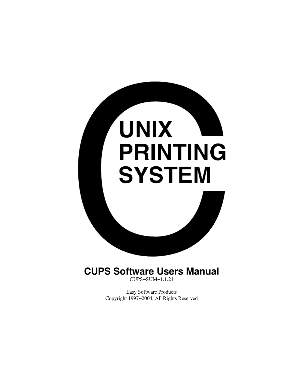

**CUPS Software Users Manual** CUPS−SUM−1.1.21

> Easy Software Products Copyright 1997−2004, All Rights Reserved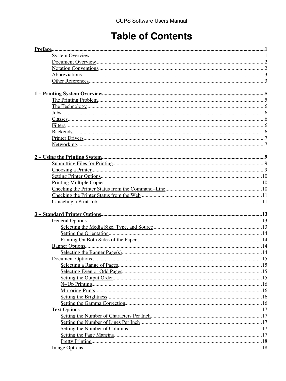# **Table of Contents**

| $Preface$ |  |
|-----------|--|
|           |  |
|           |  |
|           |  |
|           |  |
|           |  |
|           |  |
|           |  |
|           |  |
|           |  |
|           |  |
|           |  |
|           |  |
|           |  |
|           |  |
|           |  |
|           |  |
|           |  |
|           |  |
|           |  |
|           |  |
|           |  |
|           |  |
|           |  |
|           |  |
|           |  |
|           |  |
|           |  |
|           |  |
|           |  |
|           |  |
|           |  |
|           |  |
|           |  |
|           |  |
|           |  |
|           |  |
|           |  |
|           |  |
|           |  |
|           |  |
|           |  |
|           |  |
|           |  |
|           |  |
|           |  |
|           |  |
|           |  |
|           |  |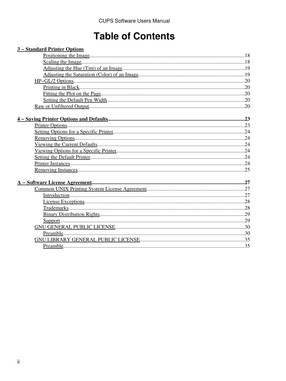# **Table of Contents**

| 3 – Standard Printer Options |  |
|------------------------------|--|
|                              |  |
|                              |  |
|                              |  |
|                              |  |
|                              |  |
|                              |  |
|                              |  |
|                              |  |
|                              |  |
|                              |  |
|                              |  |
|                              |  |
|                              |  |
|                              |  |
|                              |  |
|                              |  |
|                              |  |
|                              |  |
|                              |  |
|                              |  |
|                              |  |
|                              |  |
|                              |  |
|                              |  |
|                              |  |
|                              |  |
|                              |  |
|                              |  |
|                              |  |
|                              |  |
|                              |  |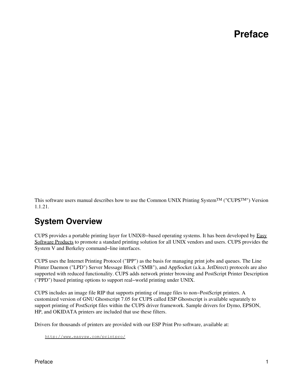# **Preface**

<span id="page-4-0"></span>This software users manual describes how to use the Common UNIX Printing SystemTM ("CUPSTM") Version 1.1.21.

## <span id="page-4-1"></span>**System Overview**

CUPS provides a portable printing layer for UNIX®−based operating systems. It has been developed by [Easy](http://www.easysw.com) [Software Products](http://www.easysw.com) to promote a standard printing solution for all UNIX vendors and users. CUPS provides the System V and Berkeley command−line interfaces.

CUPS uses the Internet Printing Protocol ("IPP") as the basis for managing print jobs and queues. The Line Printer Daemon ("LPD") Server Message Block ("SMB"), and AppSocket (a.k.a. JetDirect) protocols are also supported with reduced functionality. CUPS adds network printer browsing and PostScript Printer Description ("PPD") based printing options to support real−world printing under UNIX.

CUPS includes an image file RIP that supports printing of image files to non−PostScript printers. A customized version of GNU Ghostscript 7.05 for CUPS called ESP Ghostscript is available separately to support printing of PostScript files within the CUPS driver framework. Sample drivers for Dymo, EPSON, HP, and OKIDATA printers are included that use these filters.

Drivers for thousands of printers are provided with our ESP Print Pro software, available at:

<http://www.easysw.com/printpro/>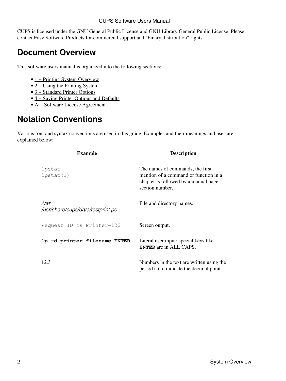CUPS is licensed under the GNU General Public License and GNU Library General Public License. Please contact Easy Software Products for commercial support and "binary distribution" rights.

## <span id="page-5-0"></span>**Document Overview**

This software users manual is organized into the following sections:

- 1 Printing System Overview
- [2 − Using the Printing System](#page-12-0)
- [3 − Standard Printer Options](#page-16-0)
- [4 − Saving Printer Options and Defaults](#page-26-0)
- [A − Software License Agreement](#page-30-0)

## <span id="page-5-1"></span>**Notation Conventions**

Various font and syntax conventions are used in this guide. Examples and their meanings and uses are explained below:

| <b>Example</b>                            | <b>Description</b>                                                                                                                   |
|-------------------------------------------|--------------------------------------------------------------------------------------------------------------------------------------|
| lpstat<br>$l$ pstat $(1)$                 | The names of commands; the first<br>mention of a command or function in a<br>chapter is followed by a manual page<br>section number. |
| /var<br>/usr/share/cups/data/testprint.ps | File and directory names.                                                                                                            |
| Request ID is Printer-123                 | Screen output.                                                                                                                       |
| 1p -d printer filename ENTER              | Literal user input; special keys like<br><b>ENTER</b> are in ALL CAPS.                                                               |
| 12.3                                      | Numbers in the text are written using the<br>period (.) to indicate the decimal point.                                               |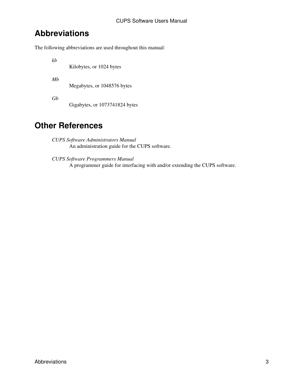## <span id="page-6-0"></span>**Abbreviations**

The following abbreviations are used throughout this manual:

*kb*

Kilobytes, or 1024 bytes

*Mb*

Megabytes, or 1048576 bytes

*Gb*

Gigabytes, or 1073741824 bytes

## <span id="page-6-1"></span>**Other References**

*CUPS Software Administrators Manual* An administration guide for the CUPS software.

*CUPS Software Programmers Manual* A programmer guide for interfacing with and/or extending the CUPS software.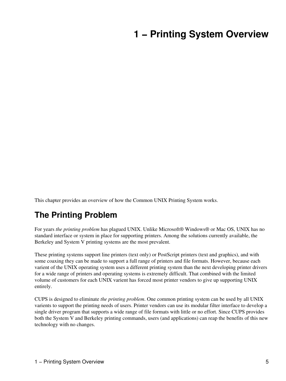# <span id="page-8-0"></span>**1 − Printing System Overview**

This chapter provides an overview of how the Common UNIX Printing System works.

## <span id="page-8-1"></span>**The Printing Problem**

For years *the printing problem* has plagued UNIX. Unlike Microsoft® Windows® or Mac OS, UNIX has no standard interface or system in place for supporting printers. Among the solutions currently available, the Berkeley and System V printing systems are the most prevalent.

These printing systems support line printers (text only) or PostScript printers (text and graphics), and with some coaxing they can be made to support a full range of printers and file formats. However, because each varient of the UNIX operating system uses a different printing system than the next developing printer drivers for a wide range of printers and operating systems is extremely difficult. That combined with the limited volume of customers for each UNIX varient has forced most printer vendors to give up supporting UNIX entirely.

CUPS is designed to eliminate *the printing problem*. One common printing system can be used by all UNIX varients to support the printing needs of users. Printer vendors can use its modular filter interface to develop a single driver program that supports a wide range of file formats with little or no effort. Since CUPS provides both the System V and Berkeley printing commands, users (and applications) can reap the benefits of this new technology with no changes.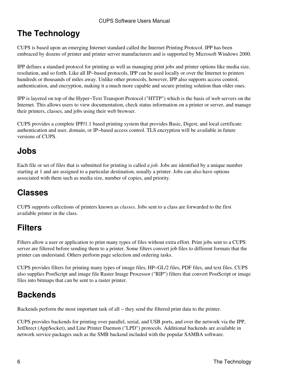# <span id="page-9-0"></span>**The Technology**

CUPS is based upon an emerging Internet standard called the Internet Printing Protocol. IPP has been embraced by dozens of printer and printer server manufacturers and is supported by Microsoft Windows 2000.

IPP defines a standard protocol for printing as well as managing print jobs and printer options like media size, resolution, and so forth. Like all IP−based protocols, IPP can be used locally or over the Internet to printers hundreds or thousands of miles away. Unlike other protocols, however, IPP also supports access control, authentication, and encryption, making it a much more capable and secure printing solution than older ones.

IPP is layered on top of the Hyper−Text Transport Protocol ("HTTP") which is the basis of web servers on the Internet. This allows users to view documentation, check status information on a printer or server, and manage their printers, classes, and jobs using their web browser.

CUPS provides a complete IPP/1.1 based printing system that provides Basic, Digest, and local certificate authentication and user, domain, or IP−based access control. TLS encryption will be available in future versions of CUPS.

## <span id="page-9-1"></span>**Jobs**

Each file or set of files that is submitted for printing is called a *job*. Jobs are identified by a unique number starting at 1 and are assigned to a particular destination, usually a printer. Jobs can also have options associated with them such as media size, number of copies, and priority.

# <span id="page-9-2"></span>**Classes**

CUPS supports collections of printers known as *classes*. Jobs sent to a class are forwarded to the first available printer in the class.

# <span id="page-9-3"></span>**Filters**

Filters allow a user or application to print many types of files without extra effort. Print jobs sent to a CUPS server are filtered before sending them to a printer. Some filters convert job files to different formats that the printer can understand. Others perform page selection and ordering tasks.

CUPS provides filters for printing many types of image files, HP−GL/2 files, PDF files, and text files. CUPS also supplies PostScript and image file Raster Image Processor ("RIP") filters that convert PostScript or image files into bitmaps that can be sent to a raster printer.

# <span id="page-9-4"></span>**Backends**

Backends perform the most important task of all − they send the filtered print data to the printer.

CUPS provides backends for printing over parallel, serial, and USB ports, and over the network via the IPP, JetDirect (AppSocket), and Line Printer Daemon ("LPD") protocols. Additional backends are available in network service packages such as the SMB backend included with the popular SAMBA software.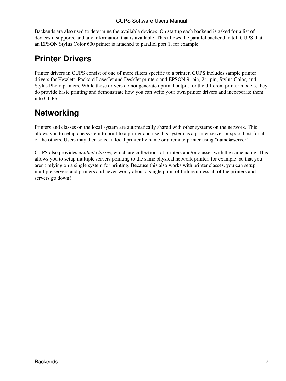Backends are also used to determine the available devices. On startup each backend is asked for a list of devices it supports, and any information that is available. This allows the parallel backend to tell CUPS that an EPSON Stylus Color 600 printer is attached to parallel port 1, for example.

## <span id="page-10-0"></span>**Printer Drivers**

Printer drivers in CUPS consist of one of more filters specific to a printer. CUPS includes sample printer drivers for Hewlett−Packard LaserJet and DeskJet printers and EPSON 9−pin, 24−pin, Stylus Color, and Stylus Photo printers. While these drivers do not generate optimal output for the different printer models, they do provide basic printing and demonstrate how you can write your own printer drivers and incorporate them into CUPS.

## <span id="page-10-1"></span>**Networking**

Printers and classes on the local system are automatically shared with other systems on the network. This allows you to setup one system to print to a printer and use this system as a printer server or spool host for all of the others. Users may then select a local printer by name or a remote printer using "name@server".

CUPS also provides *implicit classes*, which are collections of printers and/or classes with the same name. This allows you to setup multiple servers pointing to the same physical network printer, for example, so that you aren't relying on a single system for printing. Because this also works with printer classes, you can setup multiple servers and printers and never worry about a single point of failure unless all of the printers and servers go down!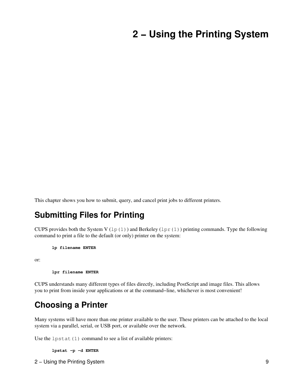# <span id="page-12-0"></span>**2 − Using the Printing System**

This chapter shows you how to submit, query, and cancel print jobs to different printers.

### <span id="page-12-1"></span>**Submitting Files for Printing**

CUPS provides both the System V (1p(1)) and Berkeley (1pr(1)) printing commands. Type the following command to print a file to the default (or only) printer on the system:

**lp filename ENTER**

or:

**lpr filename ENTER**

CUPS understands many different types of files directly, including PostScript and image files. This allows you to print from inside your applications or at the command−line, whichever is most convenient!

### <span id="page-12-2"></span>**Choosing a Printer**

Many systems will have more than one printer available to the user. These printers can be attached to the local system via a parallel, serial, or USB port, or available over the network.

Use the  $l$ pstat $(1)$  command to see a list of available printers:

**lpstat −p −d ENTER**

2 − Using the Printing System 9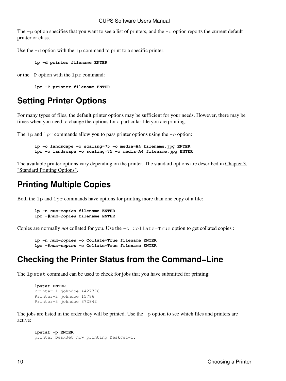The −p option specifies that you want to see a list of printers, and the −d option reports the current default printer or class.

Use the −d option with the lp command to print to a specific printer:

**lp −d printer filename ENTER**

or the −P option with the lpr command:

**lpr −P printer filename ENTER**

## <span id="page-13-0"></span>**Setting Printer Options**

For many types of files, the default printer options may be sufficient for your needs. However, there may be times when you need to change the options for a particular file you are printing.

The lp and lpr commands allow you to pass printer options using the −o option:

```
lp −o landscape −o scaling=75 −o media=A4 filename.jpg ENTER
lpr −o landscape −o scaling=75 −o media=A4 filename.jpg ENTER
```
The available printer options vary depending on the printer. The standard options are described in [Chapter 3,](#page-16-0) ["Standard Printing Options".](#page-16-0)

## <span id="page-13-1"></span>**Printing Multiple Copies**

Both the lp and lpr commands have options for printing more than one copy of a file:

```
lp −n num−copies filename ENTER
lpr −#num−copies filename ENTER
```
Copies are normally *not* collated for you. Use the −o Collate=True option to get collated copies :

```
lp −n num−copies −o Collate=True filename ENTER
lpr −#num−copies −o Collate=True filename ENTER
```
### <span id="page-13-2"></span>**Checking the Printer Status from the Command−Line**

The lpstat command can be used to check for jobs that you have submitted for printing:

```
lpstat ENTER
Printer−1 johndoe 4427776
Printer−2 johndoe 15786
Printer−3 johndoe 372842
```
The jobs are listed in the order they will be printed. Use the −p option to see which files and printers are active:

```
lpstat −p ENTER
printer DeskJet now printing DeskJet−1.
```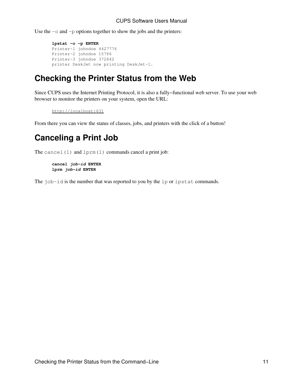Use the −o and −p options together to show the jobs and the printers:

```
lpstat −o −p ENTER
Printer−1 johndoe 4427776
Printer−2 johndoe 15786
Printer−3 johndoe 372842
printer DeskJet now printing DeskJet−1.
```
## <span id="page-14-0"></span>**Checking the Printer Status from the Web**

Since CUPS uses the Internet Printing Protocol, it is also a fully−functional web server. To use your web browser to monitor the printers on your system, open the URL:

```
http://localhost:631
```
From there you can view the status of classes, jobs, and printers with the click of a button!

## <span id="page-14-1"></span>**Canceling a Print Job**

The cancel  $(1)$  and  $lpm(1)$  commands cancel a print job:

```
cancel job−id ENTER
lprm job−id ENTER
```
The job−id is the number that was reported to you by the lp or lpstat commands.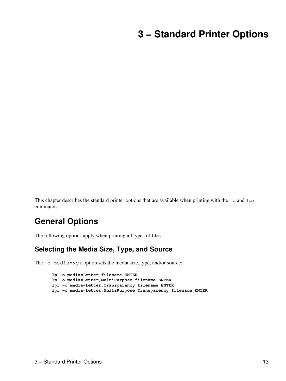# <span id="page-16-0"></span>**3 − Standard Printer Options**

This chapter describes the standard printer options that are available when printing with the  $1p$  and  $1pr$ commands.

## <span id="page-16-1"></span>**General Options**

The following options apply when printing all types of files.

### <span id="page-16-2"></span>**Selecting the Media Size, Type, and Source**

The −o media=xyz option sets the media size, type, and/or source:

```
lp −o media=Letter filename ENTER
lp −o media=Letter,MultiPurpose filename ENTER
lpr −o media=Letter,Transparency filename ENTER
lpr −o media=Letter,MultiPurpose,Transparency filename ENTER
```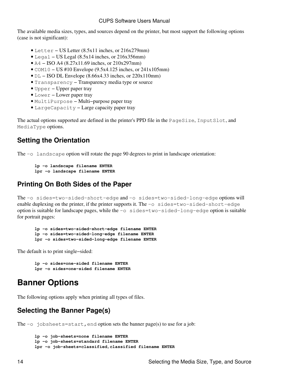The available media sizes, types, and sources depend on the printer, but most support the following options (case is not significant):

- Letter − US Letter (8.5x11 inches, or 216x279mm)
- Legal US Legal  $(8.5x14$  inches, or 216x356mm)
- A4 − ISO A4 (8.27x11.69 inches, or 210x297mm)
- COM10 − US #10 Envelope (9.5x4.125 inches, or 241x105mm)
- DL − ISO DL Envelope (8.66x4.33 inches, or 220x110mm)
- Transparency − Transparency media type or source
- Upper − Upper paper tray
- Lower − Lower paper tray
- MultiPurpose − Multi−purpose paper tray
- LargeCapacity − Large capacity paper tray

The actual options supported are defined in the printer's PPD file in the PageSize, InputSlot, and MediaType options.

### <span id="page-17-0"></span>**Setting the Orientation**

The −o landscape option will rotate the page 90 degrees to print in landscape orientation:

```
lp −o landscape filename ENTER
lpr −o landscape filename ENTER
```
### <span id="page-17-1"></span>**Printing On Both Sides of the Paper**

The −o sides=two−sided−short−edge and −o sides=two−sided−long−edge options will enable duplexing on the printer, if the printer supports it. The −o sides=two−sided−short−edge option is suitable for landscape pages, while the −o sides=two−sided−long−edge option is suitable for portrait pages:

**lp −o sides=two−sided−short−edge filename ENTER lp −o sides=two−sided−long−edge filename ENTER lpr −o sides=two−sided−long−edge filename ENTER**

The default is to print single−sided:

**lp −o sides=one−sided filename ENTER lpr −o sides=one−sided filename ENTER**

## <span id="page-17-2"></span>**Banner Options**

The following options apply when printing all types of files.

### <span id="page-17-3"></span>**Selecting the Banner Page(s)**

The  $\overline{-\circ}$  jobsheets=start, end option sets the banner page(s) to use for a job:

```
lp −o job−sheets=none filename ENTER
lp −o job−sheets=standard filename ENTER
lpr −o job−sheets=classified,classified filename ENTER
```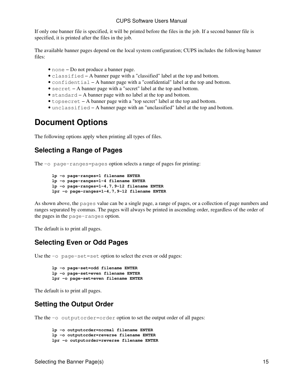If only one banner file is specified, it will be printed before the files in the job. If a second banner file is specified, it is printed after the files in the job.

The available banner pages depend on the local system configuration; CUPS includes the following banner files:

- none − Do not produce a banner page.
- classified − A banner page with a "classified" label at the top and bottom.
- confidential − A banner page with a "confidential" label at the top and bottom.
- secret − A banner page with a "secret" label at the top and bottom.
- standard − A banner page with no label at the top and bottom.
- topsecret − A banner page with a "top secret" label at the top and bottom.
- unclassified − A banner page with an "unclassified" label at the top and bottom.

## <span id="page-18-0"></span>**Document Options**

The following options apply when printing all types of files.

### <span id="page-18-1"></span>**Selecting a Range of Pages**

The −o page−ranges=pages option selects a range of pages for printing:

```
lp −o page−ranges=1 filename ENTER
lp −o page−ranges=1−4 filename ENTER
lp −o page−ranges=1−4,7,9−12 filename ENTER
lpr −o page−ranges=1−4,7,9−12 filename ENTER
```
As shown above, the pages value can be a single page, a range of pages, or a collection of page numbers and ranges separated by commas. The pages will always be printed in ascending order, regardless of the order of the pages in the page−ranges option.

The default is to print all pages.

### <span id="page-18-2"></span>**Selecting Even or Odd Pages**

Use the −o page−set=set option to select the even or odd pages:

```
lp −o page−set=odd filename ENTER
lp −o page−set=even filename ENTER
lpr −o page−set=even filename ENTER
```
The default is to print all pages.

### <span id="page-18-3"></span>**Setting the Output Order**

The the −o outputorder=order option to set the output order of all pages:

```
lp −o outputorder=normal filename ENTER
lp −o outputorder=reverse filename ENTER
lpr −o outputorder=reverse filename ENTER
```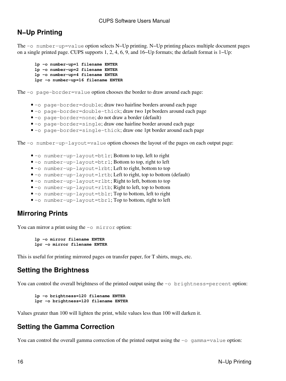### <span id="page-19-0"></span>**N−Up Printing**

The −o number−up=value option selects N−Up printing. N−Up printing places multiple document pages on a single printed page. CUPS supports 1, 2, 4, 6, 9, and 16−Up formats; the default format is 1−Up:

```
lp −o number−up=1 filename ENTER
lp −o number−up=2 filename ENTER
lp −o number−up=4 filename ENTER
lpr −o number−up=16 filename ENTER
```
The −o page−border=value option chooses the border to draw around each page:

- −o page−border=double; draw two hairline borders around each page
- −o page−border=double−thick; draw two 1pt borders around each page
- −o page−border=none; do not draw a border (default)
- −o page−border=single; draw one hairline border around each page
- −o page−border=single−thick; draw one 1pt border around each page

The −o number−up−layout=value option chooses the layout of the pages on each output page:

- −o number−up−layout=btlr; Bottom to top, left to right
- −o number−up−layout=btrl; Bottom to top, right to left
- −o number−up−layout=lrbt; Left to right, bottom to top
- −o number−up−layout=lrtb; Left to right, top to bottom (default)
- −o number−up−layout=rlbt; Right to left, bottom to top
- −o number−up−layout=rltb; Right to left, top to bottom
- −o number−up−layout=tblr; Top to bottom, left to right
- −o number−up−layout=tbrl; Top to bottom, right to left

### <span id="page-19-1"></span>**Mirroring Prints**

You can mirror a print using the −o mirror option:

```
lp −o mirror filename ENTER
lpr −o mirror filename ENTER
```
This is useful for printing mirrored pages on transfer paper, for T shirts, mugs, etc.

### <span id="page-19-2"></span>**Setting the Brightness**

You can control the overall brightness of the printed output using the −o brightness=percent option:

```
lp −o brightness=120 filename ENTER
lpr −o brightness=120 filename ENTER
```
Values greater than 100 will lighten the print, while values less than 100 will darken it.

### <span id="page-19-3"></span>**Setting the Gamma Correction**

You can control the overall gamma correction of the printed output using the −o gamma=value option: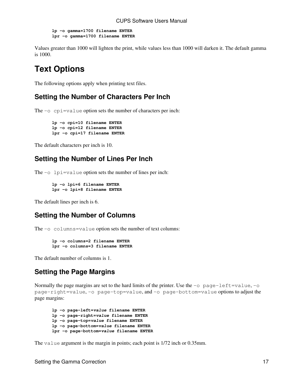**lp −o gamma=1700 filename ENTER lpr −o gamma=1700 filename ENTER**

Values greater than 1000 will lighten the print, while values less than 1000 will darken it. The default gamma is 1000.

## <span id="page-20-0"></span>**Text Options**

The following options apply when printing text files.

### <span id="page-20-1"></span>**Setting the Number of Characters Per Inch**

The −o cpi=value option sets the number of characters per inch:

**lp −o cpi=10 filename ENTER lp −o cpi=12 filename ENTER lpr −o cpi=17 filename ENTER**

The default characters per inch is 10.

### <span id="page-20-2"></span>**Setting the Number of Lines Per Inch**

The −o lpi=value option sets the number of lines per inch:

```
lp −o lpi=6 filename ENTER
lpr −o lpi=8 filename ENTER
```
The default lines per inch is 6.

### <span id="page-20-3"></span>**Setting the Number of Columns**

The −o columns=value option sets the number of text columns:

```
lp −o columns=2 filename ENTER
lpr −o columns=3 filename ENTER
```
The default number of columns is 1.

### <span id="page-20-4"></span>**Setting the Page Margins**

Normally the page margins are set to the hard limits of the printer. Use the −o page−left=value, −o page−right=value, −o page−top=value, and −o page−bottom=value options to adjust the page margins:

```
lp −o page−left=value filename ENTER
lp −o page−right=value filename ENTER
lp −o page−top=value filename ENTER
lp −o page−bottom=value filename ENTER
lpr −o page−bottom=value filename ENTER
```
The value argument is the margin in points; each point is 1/72 inch or 0.35mm.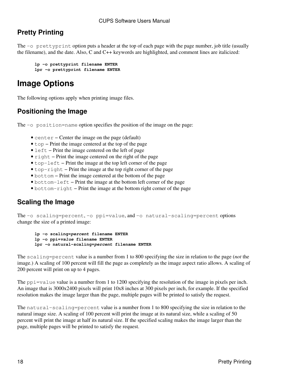## <span id="page-21-0"></span>**Pretty Printing**

The −o prettyprint option puts a header at the top of each page with the page number, job title (usually the filename), and the date. Also, C and C++ keywords are highlighted, and comment lines are italicized:

```
lp −o prettyprint filename ENTER
lpr −o prettyprint filename ENTER
```
## <span id="page-21-1"></span>**Image Options**

The following options apply when printing image files.

### <span id="page-21-2"></span>**Positioning the Image**

The −o position=name option specifies the position of the image on the page:

- center − Center the image on the page (default)
- top − Print the image centered at the top of the page
- left − Print the image centered on the left of page
- right − Print the image centered on the right of the page
- top−left − Print the image at the top left corner of the page
- top−right − Print the image at the top right corner of the page
- bottom − Print the image centered at the bottom of the page
- bottom−left − Print the image at the bottom left corner of the page
- bottom−right − Print the image at the bottom right corner of the page

### <span id="page-21-3"></span>**Scaling the Image**

The −o scaling=percent, −o ppi=value, and −o natural−scaling=percent options change the size of a printed image:

```
lp −o scaling=percent filename ENTER
lp −o ppi=value filename ENTER
lpr −o natural−scaling=percent filename ENTER
```
The scaling=percent value is a number from 1 to 800 specifying the size in relation to the page (*not* the image.) A scaling of 100 percent will fill the page as completely as the image aspect ratio allows. A scaling of 200 percent will print on up to 4 pages.

The  $ppi=value$  value is a number from 1 to 1200 specifying the resolution of the image in pixels per inch. An image that is 3000x2400 pixels will print 10x8 inches at 300 pixels per inch, for example. If the specified resolution makes the image larger than the page, multiple pages will be printed to satisfy the request.

The natural−scaling=percent value is a number from 1 to 800 specifying the size in relation to the natural image size. A scaling of 100 percent will print the image at its natural size, while a scaling of 50 percent will print the image at half its natural size. If the specified scaling makes the image larger than the page, multiple pages will be printed to satisfy the request.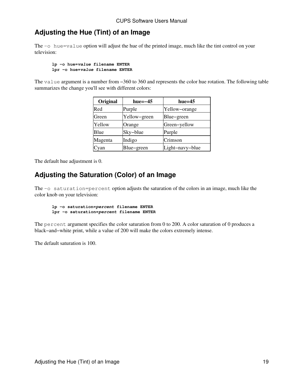### <span id="page-22-0"></span>**Adjusting the Hue (Tint) of an Image**

The −o hue=value option will adjust the hue of the printed image, much like the tint control on your television:

```
lp −o hue=value filename ENTER
lpr −o hue=value filename ENTER
```
The value argument is a number from −360 to 360 and represents the color hue rotation. The following table summarizes the change you'll see with different colors:

| Original | $hue=-45$    | $hue=45$        |
|----------|--------------|-----------------|
| Red      | Purple       | Yellow-orange   |
| Green    | Yellow-green | Blue-green      |
| Yellow   | Orange       | Green-yellow    |
| Blue     | Sky-blue     | Purple          |
| Magenta  | Indigo       | Crimson         |
| Cyan     | Blue-green   | Light-navy-blue |

The default hue adjustment is 0.

### <span id="page-22-1"></span>**Adjusting the Saturation (Color) of an Image**

The −o saturation=percent option adjusts the saturation of the colors in an image, much like the color knob on your television:

```
lp −o saturation=percent filename ENTER
lpr −o saturation=percent filename ENTER
```
The percent argument specifies the color saturation from 0 to 200. A color saturation of 0 produces a black−and−white print, while a value of 200 will make the colors extremely intense.

The default saturation is 100.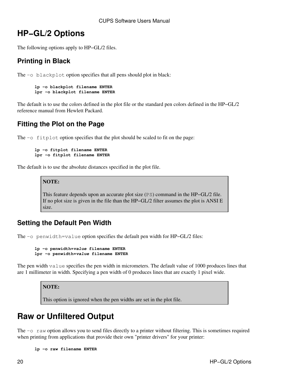## <span id="page-23-0"></span>**HP−GL/2 Options**

The following options apply to HP−GL/2 files.

### <span id="page-23-1"></span>**Printing in Black**

The −o blackplot option specifies that all pens should plot in black:

```
lp −o blackplot filename ENTER
lpr −o blackplot filename ENTER
```
The default is to use the colors defined in the plot file or the standard pen colors defined in the HP−GL/2 reference manual from Hewlett Packard.

### <span id="page-23-2"></span>**Fitting the Plot on the Page**

The −o fitplot option specifies that the plot should be scaled to fit on the page:

```
lp −o fitplot filename ENTER
lpr −o fitplot filename ENTER
```
The default is to use the absolute distances specified in the plot file.

**NOTE:**

This feature depends upon an accurate plot size (PS) command in the HP−GL/2 file. If no plot size is given in the file than the HP−GL/2 filter assumes the plot is ANSI E size.

### <span id="page-23-3"></span>**Setting the Default Pen Width**

The −o penwidth=value option specifies the default pen width for HP–GL/2 files:

```
lp −o penwidth=value filename ENTER
lpr −o penwidth=value filename ENTER
```
The pen width value specifies the pen width in micrometers. The default value of 1000 produces lines that are 1 millimeter in width. Specifying a pen width of 0 produces lines that are exactly 1 pixel wide.

**NOTE:**

This option is ignored when the pen widths are set in the plot file.

## <span id="page-23-4"></span>**Raw or Unfiltered Output**

The −o raw option allows you to send files directly to a printer without filtering. This is sometimes required when printing from applications that provide their own "printer drivers" for your printer:

```
lp −o raw filename ENTER
```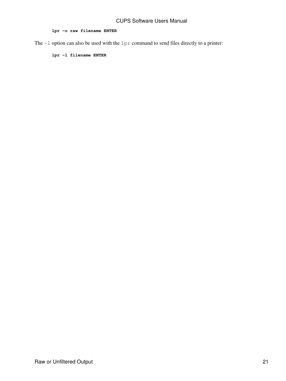#### **lpr −o raw filename ENTER**

The −l option can also be used with the lpr command to send files directly to a printer:

**lpr −l filename ENTER**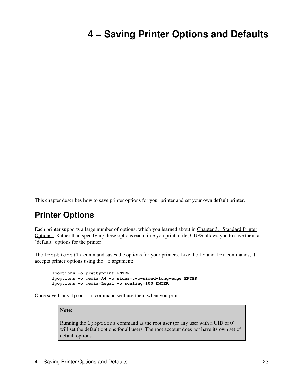# <span id="page-26-0"></span>**4 − Saving Printer Options and Defaults**

This chapter describes how to save printer options for your printer and set your own default printer.

## <span id="page-26-1"></span>**Printer Options**

Each printer supports a large number of options, which you learned about in [Chapter 3, "Standard Printer](#page-16-0) [Options"](#page-16-0). Rather than specifying these options each time you print a file, CUPS allows you to save them as "default" options for the printer.

The lpoptions (1) command saves the options for your printers. Like the lp and lpr commands, it accepts printer options using the −o argument:

```
lpoptions −o prettyprint ENTER
lpoptions −o media=A4 −o sides=two−sided−long−edge ENTER
lpoptions −o media=Legal −o scaling=100 ENTER
```
Once saved, any lp or lpr command will use them when you print.

#### **Note:**

Running the lpoptions command as the root user (or any user with a UID of 0) will set the default options for all users. The root account does not have its own set of default options.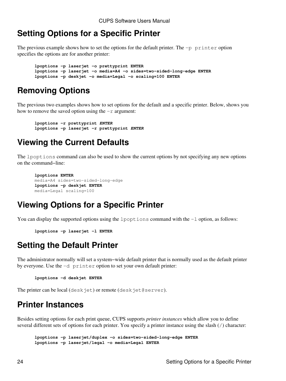## <span id="page-27-0"></span>**Setting Options for a Specific Printer**

The previous example shows how to set the options for the default printer. The −p printer option specifies the options are for another printer:

**lpoptions −p laserjet −o prettyprint ENTER lpoptions −p laserjet −o media=A4 −o sides=two−sided−long−edge ENTER lpoptions −p deskjet −o media=Legal −o scaling=100 ENTER**

## <span id="page-27-1"></span>**Removing Options**

The previous two examples shows how to set options for the default and a specific printer. Below, shows you how to remove the saved option using the −r argument:

```
lpoptions −r prettyprint ENTER
lpoptions −p laserjet −r prettyprint ENTER
```
## <span id="page-27-2"></span>**Viewing the Current Defaults**

The lpoptions command can also be used to show the current options by not specifying any new options on the command−line:

```
lpoptions ENTER
media=A4 sides=two−sided−long−edge
lpoptions −p deskjet ENTER
media=Legal scaling=100
```
## <span id="page-27-3"></span>**Viewing Options for a Specific Printer**

You can display the supported options using the lpoptions command with the −l option, as follows:

```
lpoptions −p laserjet −l ENTER
```
## <span id="page-27-4"></span>**Setting the Default Printer**

The administrator normally will set a system−wide default printer that is normally used as the default printer by everyone. Use the −d printer option to set your own default printer:

**lpoptions −d deskjet ENTER**

The printer can be local (deskjet) or remote (deskjet@server).

## <span id="page-27-5"></span>**Printer Instances**

Besides setting options for each print queue, CUPS supports *printer instances* which allow you to define several different sets of options for each printer. You specify a printer instance using the slash (/) character:

**lpoptions −p laserjet/duplex −o sides=two−sided−long−edge ENTER lpoptions −p laserjet/legal −o media=Legal ENTER**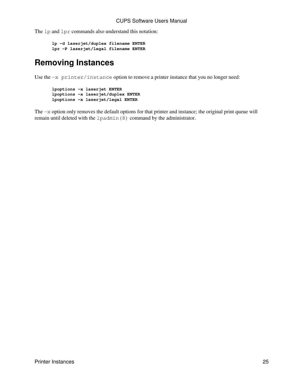The 1p and 1pr commands also understand this notation:

```
lp −d laserjet/duplex filename ENTER
lpr −P laserjet/legal filename ENTER
```
## <span id="page-28-0"></span>**Removing Instances**

Use the −x printer/instance option to remove a printer instance that you no longer need:

**lpoptions −x laserjet ENTER lpoptions −x laserjet/duplex ENTER lpoptions −x laserjet/legal ENTER**

The −x option only removes the default options for that printer and instance; the original print queue will remain until deleted with the lpadmin(8) command by the administrator.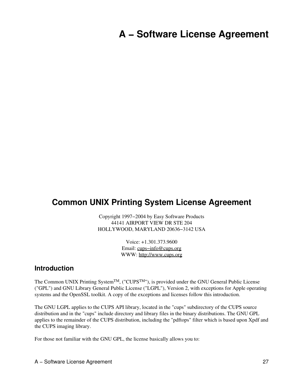# <span id="page-30-0"></span>**A − Software License Agreement**

### <span id="page-30-1"></span>**Common UNIX Printing System License Agreement**

Copyright 1997−2004 by Easy Software Products 44141 AIRPORT VIEW DR STE 204 HOLLYWOOD, MARYLAND 20636−3142 USA

> Voice: +1.301.373.9600 Email: [cups−info@cups.org](mailto:cups-info@cups.org) WWW: <http://www.cups.org>

### <span id="page-30-2"></span>**Introduction**

The Common UNIX Printing SystemTM, ("CUPSTM"), is provided under the GNU General Public License ("GPL") and GNU Library General Public License ("LGPL"), Version 2, with exceptions for Apple operating systems and the OpenSSL toolkit. A copy of the exceptions and licenses follow this introduction.

The GNU LGPL applies to the CUPS API library, located in the "cups" subdirectory of the CUPS source distribution and in the "cups" include directory and library files in the binary distributions. The GNU GPL applies to the remainder of the CUPS distribution, including the "pdftops" filter which is based upon Xpdf and the CUPS imaging library.

For those not familiar with the GNU GPL, the license basically allows you to: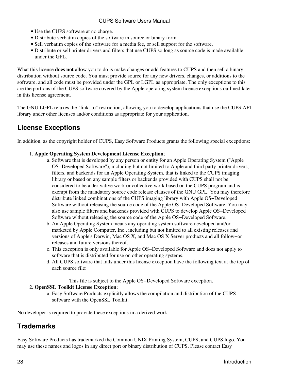- Use the CUPS software at no charge.
- Distribute verbatim copies of the software in source or binary form.
- Sell verbatim copies of the software for a media fee, or sell support for the software.
- Distribute or sell printer drivers and filters that use CUPS so long as source code is made available under the GPL.

What this license **does not** allow you to do is make changes or add features to CUPS and then sell a binary distribution without source code. You must provide source for any new drivers, changes, or additions to the software, and all code must be provided under the GPL or LGPL as appropriate. The only exceptions to this are the portions of the CUPS software covered by the Apple operating system license exceptions outlined later in this license agreement.

The GNU LGPL relaxes the "link−to" restriction, allowing you to develop applications that use the CUPS API library under other licenses and/or conditions as appropriate for your application.

### <span id="page-31-0"></span>**License Exceptions**

In addition, as the copyright holder of CUPS, Easy Software Products grants the following special exceptions:

#### **Apple Operating System Development License Exception**; 1.

- a. Software that is developed by any person or entity for an Apple Operating System ("Apple OS−Developed Software"), including but not limited to Apple and third party printer drivers, filters, and backends for an Apple Operating System, that is linked to the CUPS imaging library or based on any sample filters or backends provided with CUPS shall not be considered to be a derivative work or collective work based on the CUPS program and is exempt from the mandatory source code release clauses of the GNU GPL. You may therefore distribute linked combinations of the CUPS imaging library with Apple OS−Developed Software without releasing the source code of the Apple OS−Developed Software. You may also use sample filters and backends provided with CUPS to develop Apple OS−Developed Software without releasing the source code of the Apple OS−Developed Software.
- b. An Apple Operating System means any operating system software developed and/or marketed by Apple Computer, Inc., including but not limited to all existing releases and versions of Apple's Darwin, Mac OS X, and Mac OS X Server products and all follow−on releases and future versions thereof.
- This exception is only available for Apple OS−Developed Software and does not apply to c. software that is distributed for use on other operating systems.
- d. All CUPS software that falls under this license exception have the following text at the top of each source file:

This file is subject to the Apple OS−Developed Software exception.

#### **OpenSSL Toolkit License Exception**; 2.

Easy Software Products explicitly allows the compilation and distribution of the CUPS a. software with the OpenSSL Toolkit.

No developer is required to provide these exceptions in a derived work.

### <span id="page-31-1"></span>**Trademarks**

Easy Software Products has trademarked the Common UNIX Printing System, CUPS, and CUPS logo. You may use these names and logos in any direct port or binary distribution of CUPS. Please contact Easy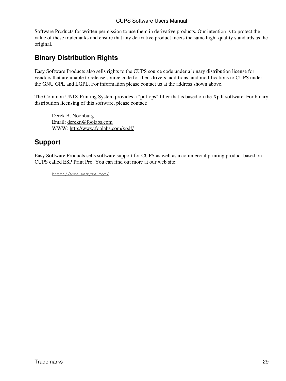Software Products for written permission to use them in derivative products. Our intention is to protect the value of these trademarks and ensure that any derivative product meets the same high−quality standards as the original.

### <span id="page-32-0"></span>**Binary Distribution Rights**

Easy Software Products also sells rights to the CUPS source code under a binary distribution license for vendors that are unable to release source code for their drivers, additions, and modifications to CUPS under the GNU GPL and LGPL. For information please contact us at the address shown above.

The Common UNIX Printing System provides a "pdftops" filter that is based on the Xpdf software. For binary distribution licensing of this software, please contact:

Derek B. Noonburg Email: [derekn@foolabs.com](mailto:derekn@foolabs.com) WWW: <http://www.foolabs.com/xpdf/>

### <span id="page-32-1"></span>**Support**

Easy Software Products sells software support for CUPS as well as a commercial printing product based on CUPS called ESP Print Pro. You can find out more at our web site:

<http://www.easysw.com/>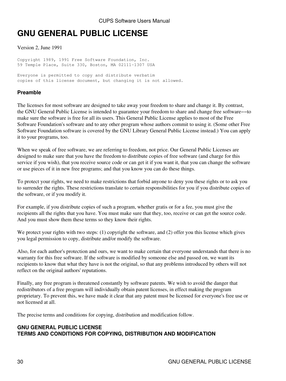## <span id="page-33-0"></span>**GNU GENERAL PUBLIC LICENSE**

Version 2, June 1991

Copyright 1989, 1991 Free Software Foundation, Inc. 59 Temple Place, Suite 330, Boston, MA 02111−1307 USA

Everyone is permitted to copy and distribute verbatim copies of this license document, but changing it is not allowed.

#### <span id="page-33-1"></span>**Preamble**

The licenses for most software are designed to take away your freedom to share and change it. By contrast, the GNU General Public License is intended to guarantee your freedom to share and change free software−−to make sure the software is free for all its users. This General Public License applies to most of the Free Software Foundation's software and to any other program whose authors commit to using it. (Some other Free Software Foundation software is covered by the GNU Library General Public License instead.) You can apply it to your programs, too.

When we speak of free software, we are referring to freedom, not price. Our General Public Licenses are designed to make sure that you have the freedom to distribute copies of free software (and charge for this service if you wish), that you receive source code or can get it if you want it, that you can change the software or use pieces of it in new free programs; and that you know you can do these things.

To protect your rights, we need to make restrictions that forbid anyone to deny you these rights or to ask you to surrender the rights. These restrictions translate to certain responsibilities for you if you distribute copies of the software, or if you modify it.

For example, if you distribute copies of such a program, whether gratis or for a fee, you must give the recipients all the rights that you have. You must make sure that they, too, receive or can get the source code. And you must show them these terms so they know their rights.

We protect your rights with two steps: (1) copyright the software, and (2) offer you this license which gives you legal permission to copy, distribute and/or modify the software.

Also, for each author's protection and ours, we want to make certain that everyone understands that there is no warranty for this free software. If the software is modified by someone else and passed on, we want its recipients to know that what they have is not the original, so that any problems introduced by others will not reflect on the original authors' reputations.

Finally, any free program is threatened constantly by software patents. We wish to avoid the danger that redistributors of a free program will individually obtain patent licenses, in effect making the program proprietary. To prevent this, we have made it clear that any patent must be licensed for everyone's free use or not licensed at all.

The precise terms and conditions for copying, distribution and modification follow.

#### **GNU GENERAL PUBLIC LICENSE TERMS AND CONDITIONS FOR COPYING, DISTRIBUTION AND MODIFICATION**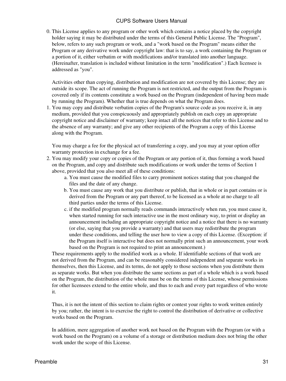0. This License applies to any program or other work which contains a notice placed by the copyright holder saying it may be distributed under the terms of this General Public License. The "Program", below, refers to any such program or work, and a "work based on the Program" means either the Program or any derivative work under copyright law: that is to say, a work containing the Program or a portion of it, either verbatim or with modifications and/or translated into another language. (Hereinafter, translation is included without limitation in the term "modification".) Each licensee is addressed as "you".

Activities other than copying, distribution and modification are not covered by this License; they are outside its scope. The act of running the Program is not restricted, and the output from the Program is covered only if its contents constitute a work based on the Program (independent of having been made by running the Program). Whether that is true depends on what the Program does.

1. You may copy and distribute verbatim copies of the Program's source code as you receive it, in any medium, provided that you conspicuously and appropriately publish on each copy an appropriate copyright notice and disclaimer of warranty; keep intact all the notices that refer to this License and to the absence of any warranty; and give any other recipients of the Program a copy of this License along with the Program.

You may charge a fee for the physical act of transferring a copy, and you may at your option offer warranty protection in exchange for a fee.

- 2. You may modify your copy or copies of the Program or any portion of it, thus forming a work based on the Program, and copy and distribute such modifications or work under the terms of Section 1 above, provided that you also meet all of these conditions:
	- a. You must cause the modified files to carry prominent notices stating that you changed the files and the date of any change.
	- b. You must cause any work that you distribute or publish, that in whole or in part contains or is derived from the Program or any part thereof, to be licensed as a whole at no charge to all third parties under the terms of this License.
	- c. if the modified program normally reads commands interactively when run, you must cause it, when started running for such interactive use in the most ordinary way, to print or display an announcement including an appropriate copyright notice and a notice that there is no warranty (or else, saying that you provide a warranty) and that users may redistribute the program under these conditions, and telling the user how to view a copy of this License. (Exception: if the Program itself is interactive but does not normally print such an announcement, your work based on the Program is not required to print an announcement.)

These requirements apply to the modified work as a whole. If identifiable sections of that work are not derived from the Program, and can be reasonably considered independent and separate works in themselves, then this License, and its terms, do not apply to those sections when you distribute them as separate works. But when you distribute the same sections as part of a whole which is a work based on the Program, the distribution of the whole must be on the terms of this License, whose permissions for other licensees extend to the entire whole, and thus to each and every part regardless of who wrote it.

Thus, it is not the intent of this section to claim rights or contest your rights to work written entirely by you; rather, the intent is to exercise the right to control the distribution of derivative or collective works based on the Program.

In addition, mere aggregation of another work not based on the Program with the Program (or with a work based on the Program) on a volume of a storage or distribution medium does not bring the other work under the scope of this License.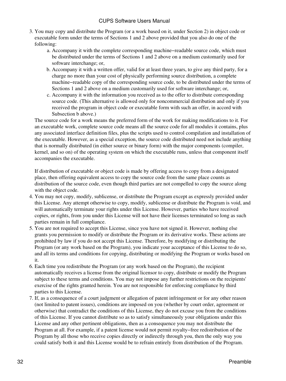- 3. You may copy and distribute the Program (or a work based on it, under Section 2) in object code or executable form under the terms of Sections 1 and 2 above provided that you also do one of the following:
	- Accompany it with the complete corresponding machine−readable source code, which must a. be distributed under the terms of Sections 1 and 2 above on a medium customarily used for software interchange; or,
	- b. Accompany it with a written offer, valid for at least three years, to give any third party, for a charge no more than your cost of physically performing source distribution, a complete machine−readable copy of the corresponding source code, to be distributed under the terms of Sections 1 and 2 above on a medium customarily used for software interchange; or,
	- c. Accompany it with the information you received as to the offer to distribute corresponding source code. (This alternative is allowed only for noncommercial distribution and only if you received the program in object code or executable form with such an offer, in accord with Subsection b above.)

The source code for a work means the preferred form of the work for making modifications to it. For an executable work, complete source code means all the source code for all modules it contains, plus any associated interface definition files, plus the scripts used to control compilation and installation of the executable. However, as a special exception, the source code distributed need not include anything that is normally distributed (in either source or binary form) with the major components (compiler, kernel, and so on) of the operating system on which the executable runs, unless that component itself accompanies the executable.

If distribution of executable or object code is made by offering access to copy from a designated place, then offering equivalent access to copy the source code from the same place counts as distribution of the source code, even though third parties are not compelled to copy the source along with the object code.

- 4. You may not copy, modify, sublicense, or distribute the Program except as expressly provided under this License. Any attempt otherwise to copy, modify, sublicense or distribute the Program is void, and will automatically terminate your rights under this License. However, parties who have received copies, or rights, from you under this License will not have their licenses terminated so long as such parties remain in full compliance.
- 5. You are not required to accept this License, since you have not signed it. However, nothing else grants you permission to modify or distribute the Program or its derivative works. These actions are prohibited by law if you do not accept this License. Therefore, by modifying or distributing the Program (or any work based on the Program), you indicate your acceptance of this License to do so, and all its terms and conditions for copying, distributing or modifying the Program or works based on it.
- Each time you redistribute the Program (or any work based on the Program), the recipient 6. automatically receives a license from the original licensor to copy, distribute or modify the Program subject to these terms and conditions. You may not impose any further restrictions on the recipients' exercise of the rights granted herein. You are not responsible for enforcing compliance by third parties to this License.
- If, as a consequence of a court judgment or allegation of patent infringement or for any other reason 7. (not limited to patent issues), conditions are imposed on you (whether by court order, agreement or otherwise) that contradict the conditions of this License, they do not excuse you from the conditions of this License. If you cannot distribute so as to satisfy simultaneously your obligations under this License and any other pertinent obligations, then as a consequence you may not distribute the Program at all. For example, if a patent license would not permit royalty−free redistribution of the Program by all those who receive copies directly or indirectly through you, then the only way you could satisfy both it and this License would be to refrain entirely from distribution of the Program.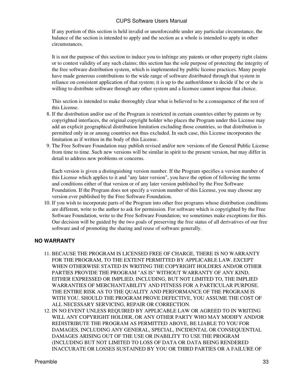If any portion of this section is held invalid or unenforceable under any particular circumstance, the balance of the section is intended to apply and the section as a whole is intended to apply in other circumstances.

It is not the purpose of this section to induce you to infringe any patents or other property right claims or to contest validity of any such claims; this section has the sole purpose of protecting the integrity of the free software distribution system, which is implemented by public license practices. Many people have made generous contributions to the wide range of software distributed through that system in reliance on consistent application of that system; it is up to the author/donor to decide if he or she is willing to distribute software through any other system and a licensee cannot impose that choice.

This section is intended to make thoroughly clear what is believed to be a consequence of the rest of this License.

- 8. If the distribution and/or use of the Program is restricted in certain countries either by patents or by copyrighted interfaces, the original copyright holder who places the Program under this License may add an explicit geographical distribution limitation excluding those countries, so that distribution is permitted only in or among countries not thus excluded. In such case, this License incorporates the limitation as if written in the body of this License.
- 9. The Free Software Foundation may publish revised and/or new versions of the General Public License from time to time. Such new versions will be similar in spirit to the present version, but may differ in detail to address new problems or concerns.

Each version is given a distinguishing version number. If the Program specifies a version number of this License which applies to it and "any later version", you have the option of following the terms and conditions either of that version or of any later version published by the Free Software Foundation. If the Program does not specify a version number of this License, you may choose any version ever published by the Free Software Foundation.

10. If you wish to incorporate parts of the Program into other free programs whose distribution conditions are different, write to the author to ask for permission. For software which is copyrighted by the Free Software Foundation, write to the Free Software Foundation; we sometimes make exceptions for this. Our decision will be guided by the two goals of preserving the free status of all derivatives of our free software and of promoting the sharing and reuse of software generally.

### **NO WARRANTY**

- 11. BECAUSE THE PROGRAM IS LICENSED FREE OF CHARGE, THERE IS NO WARRANTY FOR THE PROGRAM, TO THE EXTENT PERMITTED BY APPLICABLE LAW. EXCEPT WHEN OTHERWISE STATED IN WRITING THE COPYRIGHT HOLDERS AND/OR OTHER PARTIES PROVIDE THE PROGRAM "AS IS" WITHOUT WARRANTY OF ANY KIND, EITHER EXPRESSED OR IMPLIED, INCLUDING, BUT NOT LIMITED TO, THE IMPLIED WARRANTIES OF MERCHANTABILITY AND FITNESS FOR A PARTICULAR PURPOSE. THE ENTIRE RISK AS TO THE QUALITY AND PERFORMANCE OF THE PROGRAM IS WITH YOU. SHOULD THE PROGRAM PROVE DEFECTIVE, YOU ASSUME THE COST OF ALL NECESSARY SERVICING, REPAIR OR CORRECTION.
- 12. IN NO EVENT UNLESS REQUIRED BY APPLICABLE LAW OR AGREED TO IN WRITING WILL ANY COPYRIGHT HOLDER, OR ANY OTHER PARTY WHO MAY MODIFY AND/OR REDISTRIBUTE THE PROGRAM AS PERMITTED ABOVE, BE LIABLE TO YOU FOR DAMAGES, INCLUDING ANY GENERAL, SPECIAL, INCIDENTAL OR CONSEQUENTIAL DAMAGES ARISING OUT OF THE USE OR INABILITY TO USE THE PROGRAM (INCLUDING BUT NOT LIMITED TO LOSS OF DATA OR DATA BEING RENDERED INACCURATE OR LOSSES SUSTAINED BY YOU OR THIRD PARTIES OR A FAILURE OF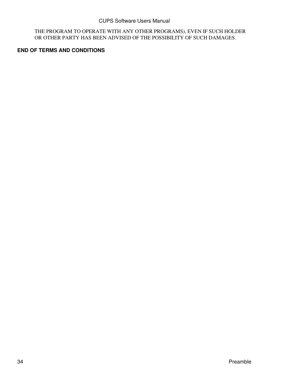THE PROGRAM TO OPERATE WITH ANY OTHER PROGRAMS), EVEN IF SUCH HOLDER OR OTHER PARTY HAS BEEN ADVISED OF THE POSSIBILITY OF SUCH DAMAGES.

#### **END OF TERMS AND CONDITIONS**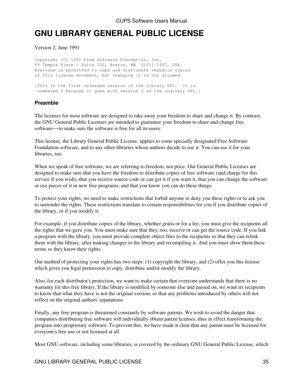## <span id="page-38-0"></span>**GNU LIBRARY GENERAL PUBLIC LICENSE**

Version 2, June 1991

Copyright (C) 1991 Free Software Foundation, Inc. 59 Temple Place − Suite 330, Boston, MA 02111−1307, USA Everyone is permitted to copy and distribute verbatim copies of this license document, but changing it is not allowed.

[This is the first released version of the library GPL. It is numbered 2 because it goes with version 2 of the ordinary GPL.]

#### <span id="page-38-1"></span>**Preamble**

The licenses for most software are designed to take away your freedom to share and change it. By contrast, the GNU General Public Licenses are intended to guarantee your freedom to share and change free software−−to make sure the software is free for all its users.

This license, the Library General Public License, applies to some specially designated Free Software Foundation software, and to any other libraries whose authors decide to use it. You can use it for your libraries, too.

When we speak of free software, we are referring to freedom, not price. Our General Public Licenses are designed to make sure that you have the freedom to distribute copies of free software (and charge for this service if you wish), that you receive source code or can get it if you want it, that you can change the software or use pieces of it in new free programs; and that you know you can do these things.

To protect your rights, we need to make restrictions that forbid anyone to deny you these rights or to ask you to surrender the rights. These restrictions translate to certain responsibilities for you if you distribute copies of the library, or if you modify it.

For example, if you distribute copies of the library, whether gratis or for a fee, you must give the recipients all the rights that we gave you. You must make sure that they, too, receive or can get the source code. If you link a program with the library, you must provide complete object files to the recipients so that they can relink them with the library, after making changes to the library and recompiling it. And you must show them these terms so they know their rights.

Our method of protecting your rights has two steps: (1) copyright the library, and (2) offer you this license which gives you legal permission to copy, distribute and/or modify the library.

Also, for each distributor's protection, we want to make certain that everyone understands that there is no warranty for this free library. If the library is modified by someone else and passed on, we want its recipients to know that what they have is not the original version, so that any problems introduced by others will not reflect on the original authors' reputations.

Finally, any free program is threatened constantly by software patents. We wish to avoid the danger that companies distributing free software will individually obtain patent licenses, thus in effect transforming the program into proprietary software. To prevent this, we have made it clear that any patent must be licensed for everyone's free use or not licensed at all.

Most GNU software, including some libraries, is covered by the ordinary GNU General Public License, which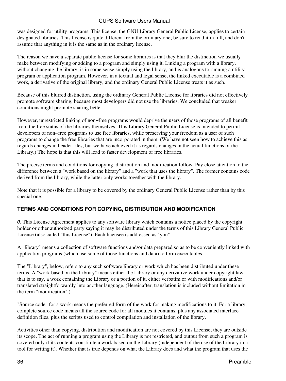was designed for utility programs. This license, the GNU Library General Public License, applies to certain designated libraries. This license is quite different from the ordinary one; be sure to read it in full, and don't assume that anything in it is the same as in the ordinary license.

The reason we have a separate public license for some libraries is that they blur the distinction we usually make between modifying or adding to a program and simply using it. Linking a program with a library, without changing the library, is in some sense simply using the library, and is analogous to running a utility program or application program. However, in a textual and legal sense, the linked executable is a combined work, a derivative of the original library, and the ordinary General Public License treats it as such.

Because of this blurred distinction, using the ordinary General Public License for libraries did not effectively promote software sharing, because most developers did not use the libraries. We concluded that weaker conditions might promote sharing better.

However, unrestricted linking of non−free programs would deprive the users of those programs of all benefit from the free status of the libraries themselves. This Library General Public License is intended to permit developers of non−free programs to use free libraries, while preserving your freedom as a user of such programs to change the free libraries that are incorporated in them. (We have not seen how to achieve this as regards changes in header files, but we have achieved it as regards changes in the actual functions of the Library.) The hope is that this will lead to faster development of free libraries.

The precise terms and conditions for copying, distribution and modification follow. Pay close attention to the difference between a "work based on the library" and a "work that uses the library". The former contains code derived from the library, while the latter only works together with the library.

Note that it is possible for a library to be covered by the ordinary General Public License rather than by this special one.

### **TERMS AND CONDITIONS FOR COPYING, DISTRIBUTION AND MODIFICATION**

*0.* This License Agreement applies to any software library which contains a notice placed by the copyright holder or other authorized party saying it may be distributed under the terms of this Library General Public License (also called "this License"). Each licensee is addressed as "you".

A "library" means a collection of software functions and/or data prepared so as to be conveniently linked with application programs (which use some of those functions and data) to form executables.

The "Library", below, refers to any such software library or work which has been distributed under these terms. A "work based on the Library" means either the Library or any derivative work under copyright law: that is to say, a work containing the Library or a portion of it, either verbatim or with modifications and/or translated straightforwardly into another language. (Hereinafter, translation is included without limitation in the term "modification".)

"Source code" for a work means the preferred form of the work for making modifications to it. For a library, complete source code means all the source code for all modules it contains, plus any associated interface definition files, plus the scripts used to control compilation and installation of the library.

Activities other than copying, distribution and modification are not covered by this License; they are outside its scope. The act of running a program using the Library is not restricted, and output from such a program is covered only if its contents constitute a work based on the Library (independent of the use of the Library in a tool for writing it). Whether that is true depends on what the Library does and what the program that uses the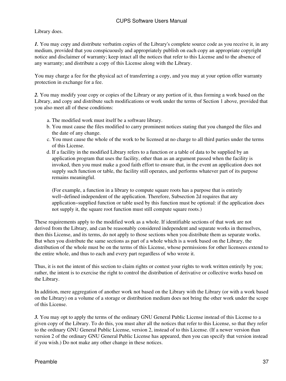#### Library does.

*1.* You may copy and distribute verbatim copies of the Library's complete source code as you receive it, in any medium, provided that you conspicuously and appropriately publish on each copy an appropriate copyright notice and disclaimer of warranty; keep intact all the notices that refer to this License and to the absence of any warranty; and distribute a copy of this License along with the Library.

You may charge a fee for the physical act of transferring a copy, and you may at your option offer warranty protection in exchange for a fee.

*2.* You may modify your copy or copies of the Library or any portion of it, thus forming a work based on the Library, and copy and distribute such modifications or work under the terms of Section 1 above, provided that you also meet all of these conditions:

- a. The modified work must itself be a software library.
- b. You must cause the files modified to carry prominent notices stating that you changed the files and the date of any change.
- c. You must cause the whole of the work to be licensed at no charge to all third parties under the terms of this License.
- d. If a facility in the modified Library refers to a function or a table of data to be supplied by an application program that uses the facility, other than as an argument passed when the facility is invoked, then you must make a good faith effort to ensure that, in the event an application does not supply such function or table, the facility still operates, and performs whatever part of its purpose remains meaningful.

(For example, a function in a library to compute square roots has a purpose that is entirely well−defined independent of the application. Therefore, Subsection 2d requires that any application−supplied function or table used by this function must be optional: if the application does not supply it, the square root function must still compute square roots.)

These requirements apply to the modified work as a whole. If identifiable sections of that work are not derived from the Library, and can be reasonably considered independent and separate works in themselves, then this License, and its terms, do not apply to those sections when you distribute them as separate works. But when you distribute the same sections as part of a whole which is a work based on the Library, the distribution of the whole must be on the terms of this License, whose permissions for other licensees extend to the entire whole, and thus to each and every part regardless of who wrote it.

Thus, it is not the intent of this section to claim rights or contest your rights to work written entirely by you; rather, the intent is to exercise the right to control the distribution of derivative or collective works based on the Library.

In addition, mere aggregation of another work not based on the Library with the Library (or with a work based on the Library) on a volume of a storage or distribution medium does not bring the other work under the scope of this License.

*3.* You may opt to apply the terms of the ordinary GNU General Public License instead of this License to a given copy of the Library. To do this, you must alter all the notices that refer to this License, so that they refer to the ordinary GNU General Public License, version 2, instead of to this License. (If a newer version than version 2 of the ordinary GNU General Public License has appeared, then you can specify that version instead if you wish.) Do not make any other change in these notices.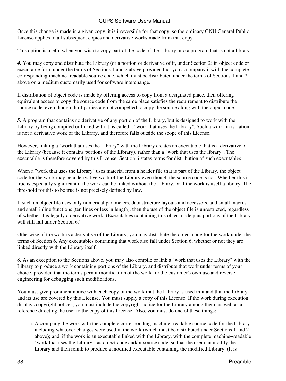Once this change is made in a given copy, it is irreversible for that copy, so the ordinary GNU General Public License applies to all subsequent copies and derivative works made from that copy.

This option is useful when you wish to copy part of the code of the Library into a program that is not a library.

*4.* You may copy and distribute the Library (or a portion or derivative of it, under Section 2) in object code or executable form under the terms of Sections 1 and 2 above provided that you accompany it with the complete corresponding machine−readable source code, which must be distributed under the terms of Sections 1 and 2 above on a medium customarily used for software interchange.

If distribution of object code is made by offering access to copy from a designated place, then offering equivalent access to copy the source code from the same place satisfies the requirement to distribute the source code, even though third parties are not compelled to copy the source along with the object code.

*5.* A program that contains no derivative of any portion of the Library, but is designed to work with the Library by being compiled or linked with it, is called a "work that uses the Library". Such a work, in isolation, is not a derivative work of the Library, and therefore falls outside the scope of this License.

However, linking a "work that uses the Library" with the Library creates an executable that is a derivative of the Library (because it contains portions of the Library), rather than a "work that uses the library". The executable is therefore covered by this License. Section 6 states terms for distribution of such executables.

When a "work that uses the Library" uses material from a header file that is part of the Library, the object code for the work may be a derivative work of the Library even though the source code is not. Whether this is true is especially significant if the work can be linked without the Library, or if the work is itself a library. The threshold for this to be true is not precisely defined by law.

If such an object file uses only numerical parameters, data structure layouts and accessors, and small macros and small inline functions (ten lines or less in length), then the use of the object file is unrestricted, regardless of whether it is legally a derivative work. (Executables containing this object code plus portions of the Library will still fall under Section 6.)

Otherwise, if the work is a derivative of the Library, you may distribute the object code for the work under the terms of Section 6. Any executables containing that work also fall under Section 6, whether or not they are linked directly with the Library itself.

*6.* As an exception to the Sections above, you may also compile or link a "work that uses the Library" with the Library to produce a work containing portions of the Library, and distribute that work under terms of your choice, provided that the terms permit modification of the work for the customer's own use and reverse engineering for debugging such modifications.

You must give prominent notice with each copy of the work that the Library is used in it and that the Library and its use are covered by this License. You must supply a copy of this License. If the work during execution displays copyright notices, you must include the copyright notice for the Library among them, as well as a reference directing the user to the copy of this License. Also, you must do one of these things:

Accompany the work with the complete corresponding machine−readable source code for the Library a. including whatever changes were used in the work (which must be distributed under Sections 1 and 2 above); and, if the work is an executable linked with the Library, with the complete machine−readable "work that uses the Library", as object code and/or source code, so that the user can modify the Library and then relink to produce a modified executable containing the modified Library. (It is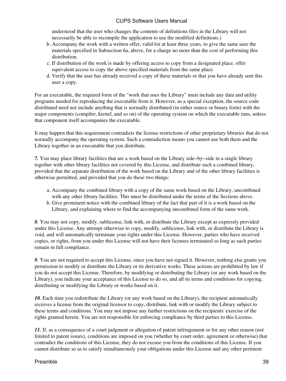understood that the user who changes the contents of definitions files in the Library will not necessarily be able to recompile the application to use the modified definitions.)

- b. Accompany the work with a written offer, valid for at least three years, to give the same user the materials specified in Subsection 6a, above, for a charge no more than the cost of performing this distribution.
- c. If distribution of the work is made by offering access to copy from a designated place, offer equivalent access to copy the above specified materials from the same place.
- d. Verify that the user has already received a copy of these materials or that you have already sent this user a copy.

For an executable, the required form of the "work that uses the Library" must include any data and utility programs needed for reproducing the executable from it. However, as a special exception, the source code distributed need not include anything that is normally distributed (in either source or binary form) with the major components (compiler, kernel, and so on) of the operating system on which the executable runs, unless that component itself accompanies the executable.

It may happen that this requirement contradicts the license restrictions of other proprietary libraries that do not normally accompany the operating system. Such a contradiction means you cannot use both them and the Library together in an executable that you distribute.

*7.* You may place library facilities that are a work based on the Library side−by−side in a single library together with other library facilities not covered by this License, and distribute such a combined library, provided that the separate distribution of the work based on the Library and of the other library facilities is otherwise permitted, and provided that you do these two things:

- a. Accompany the combined library with a copy of the same work based on the Library, uncombined with any other library facilities. This must be distributed under the terms of the Sections above.
- b. Give prominent notice with the combined library of the fact that part of it is a work based on the Library, and explaining where to find the accompanying uncombined form of the same work.

*8.* You may not copy, modify, sublicense, link with, or distribute the Library except as expressly provided under this License. Any attempt otherwise to copy, modify, sublicense, link with, or distribute the Library is void, and will automatically terminate your rights under this License. However, parties who have received copies, or rights, from you under this License will not have their licenses terminated so long as such parties remain in full compliance.

*9.* You are not required to accept this License, since you have not signed it. However, nothing else grants you permission to modify or distribute the Library or its derivative works. These actions are prohibited by law if you do not accept this License. Therefore, by modifying or distributing the Library (or any work based on the Library), you indicate your acceptance of this License to do so, and all its terms and conditions for copying, distributing or modifying the Library or works based on it.

*10.* Each time you redistribute the Library (or any work based on the Library), the recipient automatically receives a license from the original licensor to copy, distribute, link with or modify the Library subject to these terms and conditions. You may not impose any further restrictions on the recipients' exercise of the rights granted herein. You are not responsible for enforcing compliance by third parties to this License.

*11.* If, as a consequence of a court judgment or allegation of patent infringement or for any other reason (not limited to patent issues), conditions are imposed on you (whether by court order, agreement or otherwise) that contradict the conditions of this License, they do not excuse you from the conditions of this License. If you cannot distribute so as to satisfy simultaneously your obligations under this License and any other pertinent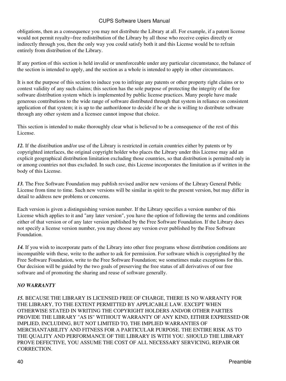obligations, then as a consequence you may not distribute the Library at all. For example, if a patent license would not permit royalty−free redistribution of the Library by all those who receive copies directly or indirectly through you, then the only way you could satisfy both it and this License would be to refrain entirely from distribution of the Library.

If any portion of this section is held invalid or unenforceable under any particular circumstance, the balance of the section is intended to apply, and the section as a whole is intended to apply in other circumstances.

It is not the purpose of this section to induce you to infringe any patents or other property right claims or to contest validity of any such claims; this section has the sole purpose of protecting the integrity of the free software distribution system which is implemented by public license practices. Many people have made generous contributions to the wide range of software distributed through that system in reliance on consistent application of that system; it is up to the author/donor to decide if he or she is willing to distribute software through any other system and a licensee cannot impose that choice.

This section is intended to make thoroughly clear what is believed to be a consequence of the rest of this License.

*12.* If the distribution and/or use of the Library is restricted in certain countries either by patents or by copyrighted interfaces, the original copyright holder who places the Library under this License may add an explicit geographical distribution limitation excluding those countries, so that distribution is permitted only in or among countries not thus excluded. In such case, this License incorporates the limitation as if written in the body of this License.

*13.* The Free Software Foundation may publish revised and/or new versions of the Library General Public License from time to time. Such new versions will be similar in spirit to the present version, but may differ in detail to address new problems or concerns.

Each version is given a distinguishing version number. If the Library specifies a version number of this License which applies to it and "any later version", you have the option of following the terms and conditions either of that version or of any later version published by the Free Software Foundation. If the Library does not specify a license version number, you may choose any version ever published by the Free Software Foundation.

*14.* If you wish to incorporate parts of the Library into other free programs whose distribution conditions are incompatible with these, write to the author to ask for permission. For software which is copyrighted by the Free Software Foundation, write to the Free Software Foundation; we sometimes make exceptions for this. Our decision will be guided by the two goals of preserving the free status of all derivatives of our free software and of promoting the sharing and reuse of software generally.

#### *NO WARRANTY*

*15.* BECAUSE THE LIBRARY IS LICENSED FREE OF CHARGE, THERE IS NO WARRANTY FOR THE LIBRARY, TO THE EXTENT PERMITTED BY APPLICABLE LAW. EXCEPT WHEN OTHERWISE STATED IN WRITING THE COPYRIGHT HOLDERS AND/OR OTHER PARTIES PROVIDE THE LIBRARY "AS IS" WITHOUT WARRANTY OF ANY KIND, EITHER EXPRESSED OR IMPLIED, INCLUDING, BUT NOT LIMITED TO, THE IMPLIED WARRANTIES OF MERCHANTABILITY AND FITNESS FOR A PARTICULAR PURPOSE. THE ENTIRE RISK AS TO THE QUALITY AND PERFORMANCE OF THE LIBRARY IS WITH YOU. SHOULD THE LIBRARY PROVE DEFECTIVE, YOU ASSUME THE COST OF ALL NECESSARY SERVICING, REPAIR OR CORRECTION.